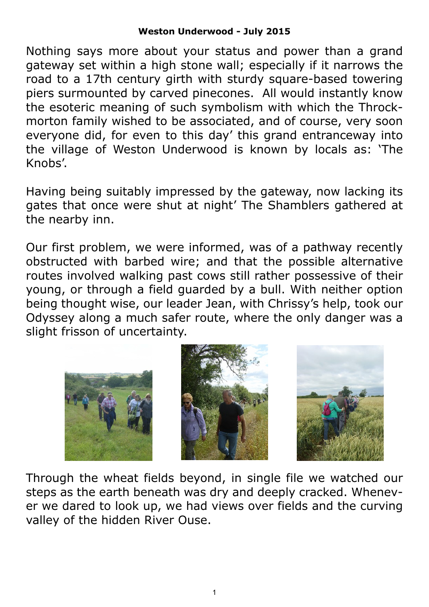## **Weston Underwood - July 2015**

Nothing says more about your status and power than a grand gateway set within a high stone wall; especially if it narrows the road to a 17th century girth with sturdy square-based towering piers surmounted by carved pinecones. All would instantly know the esoteric meaning of such symbolism with which the Throckmorton family wished to be associated, and of course, very soon everyone did, for even to this day' this grand entranceway into the village of Weston Underwood is known by locals as: 'The Knobs'.

Having being suitably impressed by the gateway, now lacking its gates that once were shut at night' The Shamblers gathered at the nearby inn.

Our first problem, we were informed, was of a pathway recently obstructed with barbed wire; and that the possible alternative routes involved walking past cows still rather possessive of their young, or through a field guarded by a bull. With neither option being thought wise, our leader Jean, with Chrissy's help, took our Odyssey along a much safer route, where the only danger was a slight frisson of uncertainty.







Through the wheat fields beyond, in single file we watched our steps as the earth beneath was dry and deeply cracked. Whenever we dared to look up, we had views over fields and the curving valley of the hidden River Ouse.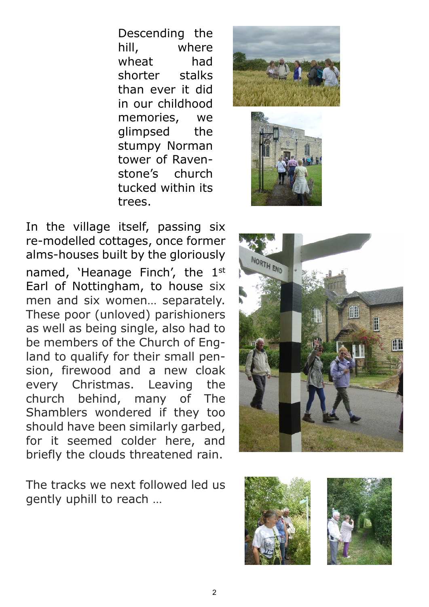Descending the hill, where wheat had shorter stalks than ever it did in our childhood memories, we glimpsed the stumpy Norman tower of Ravenstone's church tucked within its trees.





In the village itself, passing six re-modelled cottages, once former alms-houses built by the gloriously named, 'Heanage Finch', the 1st Earl of Nottingham, to house six men and six women… separately. These poor (unloved) parishioners as well as being single, also had to be members of the Church of England to qualify for their small pension, firewood and a new cloak every Christmas. Leaving the church behind, many of The Shamblers wondered if they too should have been similarly garbed, for it seemed colder here, and briefly the clouds threatened rain.

The tracks we next followed led us gently uphill to reach …





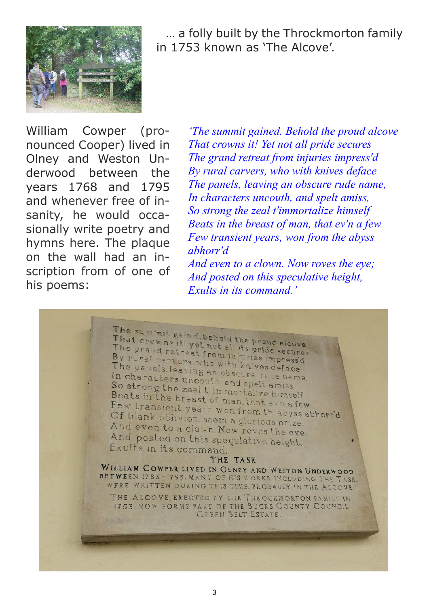

 … a folly built by the Throckmorton family in 1753 known as 'The Alcove'.

William Cowper (pronounced Cooper) lived in Olney and Weston Underwood between the years 1768 and 1795 and whenever free of insanity, he would occasionally write poetry and hymns here. The plaque on the wall had an inscription from of one of his poems:

*'The summit gained. Behold the proud alcove That crowns it! Yet not all pride secures The grand retreat from injuries impress'd By rural carvers, who with knives deface The panels, leaving an obscure rude name, In characters uncouth, and spelt amiss, So strong the zeal t'immortalize himself Beats in the breast of man, that ev'n a few Few transient years, won from the abyss abhorr'd*

*And even to a clown. Now roves the eye; And posted on this speculative height, Exults in its command.'*

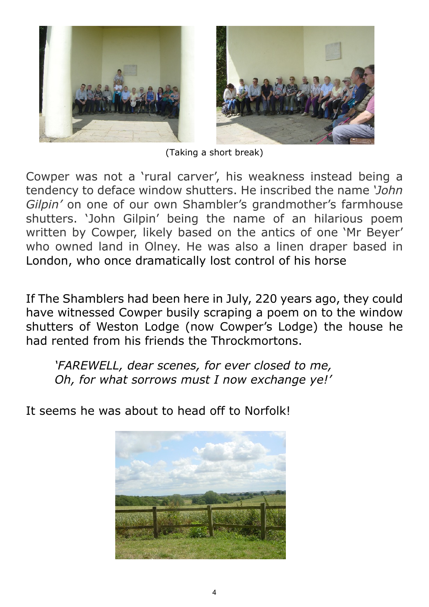

(Taking a short break)

Cowper was not a 'rural carver', his weakness instead being a tendency to deface window shutters. He inscribed the name *'John Gilpin'* on one of our own Shambler's grandmother's farmhouse shutters. 'John Gilpin' being the name of an hilarious poem written by Cowper, likely based on the antics of one 'Mr Beyer' who owned land in Olney. He was also a linen draper based in London, who once dramatically lost control of his horse

If The Shamblers had been here in July, 220 years ago, they could have witnessed Cowper busily scraping a poem on to the window shutters of Weston Lodge (now Cowper's Lodge) the house he had rented from his friends the Throckmortons.

*'FAREWELL, dear scenes, for ever closed to me, Oh, for what sorrows must I now exchange ye!'*

It seems he was about to head off to Norfolk!